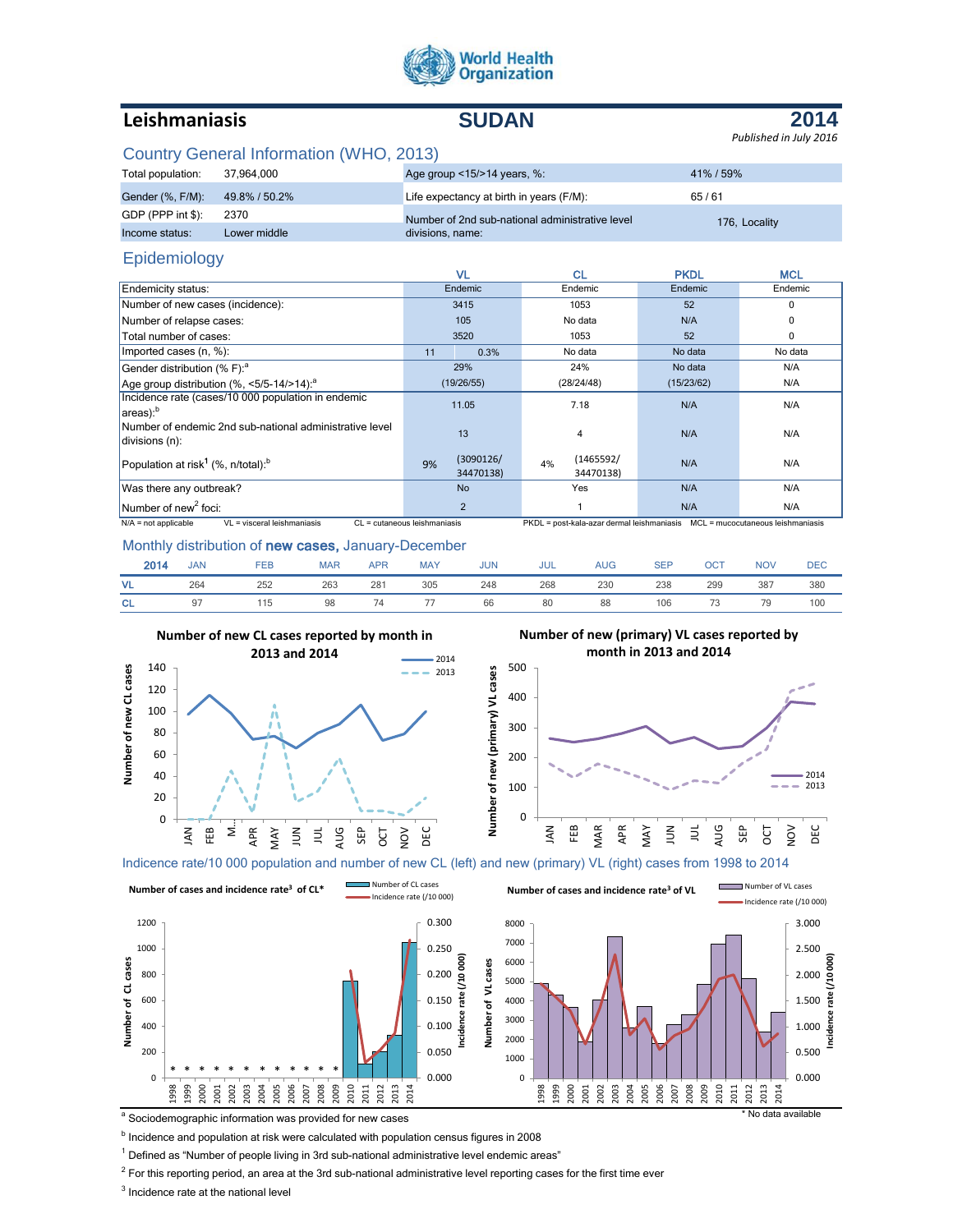

# **Leishmaniasis SUDAN**

# **2014**

*Published in July 2016*

# Country General Information (WHO, 2013)

| Total population: | 37.964.000    | Age group $\leq$ 15/ $>$ 14 years, %:           | 41%/59%       |
|-------------------|---------------|-------------------------------------------------|---------------|
| Gender (%, F/M):  | 49.8% / 50.2% | Life expectancy at birth in years (F/M):        | 65/61         |
| GDP (PPP int \$): | 2370          | Number of 2nd sub-national administrative level | 176. Locality |
| Income status:    | Lower middle  | divisions, name:                                |               |

## Epidemiology

|                                                                           |                              | VL.                    | <b>CL</b>                                                                      | <b>PKDL</b> | <b>MCL</b> |
|---------------------------------------------------------------------------|------------------------------|------------------------|--------------------------------------------------------------------------------|-------------|------------|
| Endemicity status:                                                        |                              | Endemic                | Endemic                                                                        | Endemic     | Endemic    |
| Number of new cases (incidence):                                          |                              | 3415                   | 1053                                                                           | 52          | $\Omega$   |
| Number of relapse cases:                                                  |                              | 105                    | No data                                                                        | N/A         |            |
| Total number of cases:                                                    |                              | 3520                   | 1053                                                                           | 52          | 0          |
| Imported cases (n, %):                                                    | 11                           | 0.3%                   | No data                                                                        | No data     | No data    |
| Gender distribution (% F): <sup>a</sup>                                   |                              | 29%                    | 24%                                                                            | No data     | N/A        |
| Age group distribution $(\%$ , <5/5-14/>14): <sup>a</sup>                 |                              | (19/26/55)             | (28/24/48)                                                                     | (15/23/62)  | N/A        |
| Incidence rate (cases/10 000 population in endemic<br>$ $ areas): $b$     |                              | 11.05                  | 7.18                                                                           | N/A         | N/A        |
| Number of endemic 2nd sub-national administrative level<br>divisions (n): |                              | 13                     | $\overline{4}$                                                                 | N/A         | N/A        |
| Population at risk <sup>1</sup> (%, n/total): <sup>b</sup>                | 9%                           | (3090126/<br>34470138) | (1465592/<br>4%<br>34470138)                                                   | N/A         | N/A        |
| Was there any outbreak?                                                   |                              | <b>No</b>              | Yes                                                                            | N/A         | N/A        |
| Number of new <sup>2</sup> foci:                                          |                              | 2                      |                                                                                | N/A         | N/A        |
| $N/A$ = not applicable<br>VL = visceral leishmaniasis                     | CL = cutaneous leishmaniasis |                        | PKDL = post-kala-azar dermal leishmaniasis   MCL = mucocutaneous leishmaniasis |             |            |

#### Monthly distribution of new cases, January-December

| 2014      | <b>JAN</b> | <b>FEB</b> | <b>MAR</b> | <b>APR</b> | <b>MAY</b> | <b>JUN</b> | <b>JUL</b> | <b>AUG</b> | <b>SEP</b> | <b>OCT</b> | <b>NOV</b> | <b>DEC</b> |
|-----------|------------|------------|------------|------------|------------|------------|------------|------------|------------|------------|------------|------------|
| <b>VL</b> | 264        | 252        | 263        | 281        | 305        | 248        | 268        | 230        | 238        | 299        | 387        | 380        |
| <b>CL</b> |            | 115        | 98         | 74         |            | 66         | 80         | 88         | 106        | 73         | 79         | 100        |

**Number of new (primary) VL cases**

Number of new (primary) VL cases



### **Number of new (primary) VL cases reported by month in 2013 and 2014**



Indicence rate/10 000 population and number of new CL (left) and new (primary) VL (right) cases from 1998 to 2014



a Sociodemographic information was provided for new cases the state of the state of the state available state of the state available state of the state available state available state available state available state availa

**b** Incidence and population at risk were calculated with population census figures in 2008

<sup>1</sup> Defined as "Number of people living in 3rd sub-national administrative level endemic areas"

 $^2$  For this reporting period, an area at the 3rd sub-national administrative level reporting cases for the first time ever

 $3$  Incidence rate at the national level